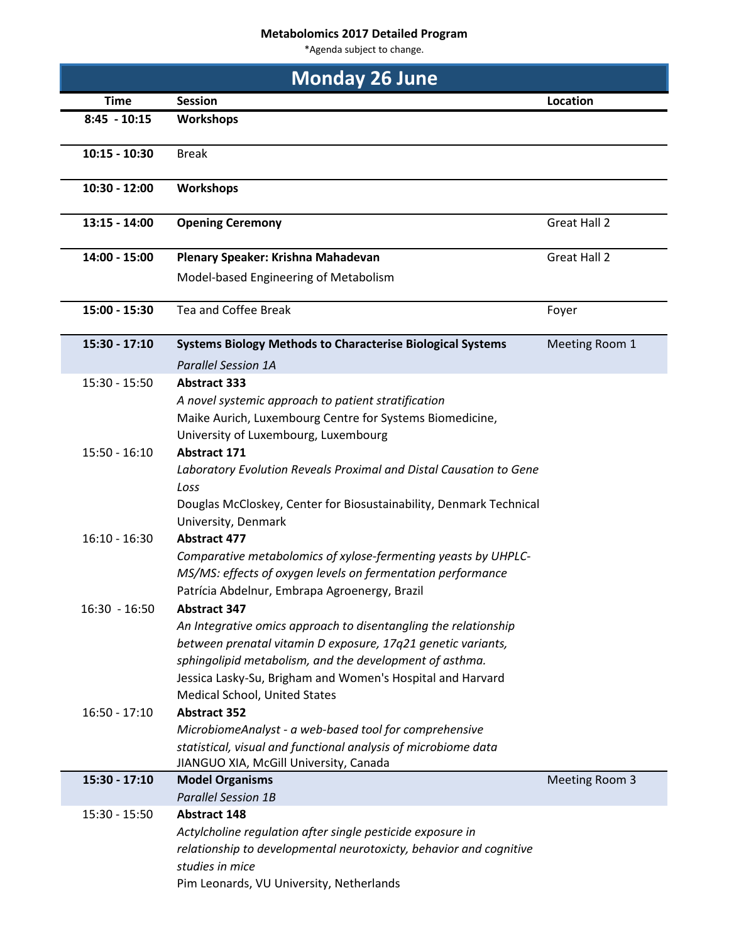## **Metabolomics 2017 Detailed Program**

\*Agenda subject to change.

| <b>Monday 26 June</b> |                                                                    |                     |
|-----------------------|--------------------------------------------------------------------|---------------------|
| <b>Time</b>           | <b>Session</b>                                                     | Location            |
| $8:45 - 10:15$        | <b>Workshops</b>                                                   |                     |
| $10:15 - 10:30$       | <b>Break</b>                                                       |                     |
| 10:30 - 12:00         | <b>Workshops</b>                                                   |                     |
| $13:15 - 14:00$       | <b>Opening Ceremony</b>                                            | <b>Great Hall 2</b> |
| 14:00 - 15:00         | Plenary Speaker: Krishna Mahadevan                                 | <b>Great Hall 2</b> |
|                       | Model-based Engineering of Metabolism                              |                     |
| 15:00 - 15:30         | <b>Tea and Coffee Break</b>                                        | Foyer               |
| 15:30 - 17:10         | <b>Systems Biology Methods to Characterise Biological Systems</b>  | Meeting Room 1      |
|                       | <b>Parallel Session 1A</b>                                         |                     |
| $15:30 - 15:50$       | <b>Abstract 333</b>                                                |                     |
|                       | A novel systemic approach to patient stratification                |                     |
|                       | Maike Aurich, Luxembourg Centre for Systems Biomedicine,           |                     |
|                       | University of Luxembourg, Luxembourg                               |                     |
| $15:50 - 16:10$       | <b>Abstract 171</b>                                                |                     |
|                       | Laboratory Evolution Reveals Proximal and Distal Causation to Gene |                     |
|                       | Loss                                                               |                     |
|                       | Douglas McCloskey, Center for Biosustainability, Denmark Technical |                     |
|                       | University, Denmark                                                |                     |
| $16:10 - 16:30$       | <b>Abstract 477</b>                                                |                     |
|                       | Comparative metabolomics of xylose-fermenting yeasts by UHPLC-     |                     |
|                       | MS/MS: effects of oxygen levels on fermentation performance        |                     |
|                       | Patrícia Abdelnur, Embrapa Agroenergy, Brazil                      |                     |
| $16:30 - 16:50$       | <b>Abstract 347</b>                                                |                     |
|                       | An Integrative omics approach to disentangling the relationship    |                     |
|                       | between prenatal vitamin D exposure, 17q21 genetic variants,       |                     |
|                       | sphingolipid metabolism, and the development of asthma.            |                     |
|                       | Jessica Lasky-Su, Brigham and Women's Hospital and Harvard         |                     |
|                       | Medical School, United States                                      |                     |
| $16:50 - 17:10$       | <b>Abstract 352</b>                                                |                     |
|                       | MicrobiomeAnalyst - a web-based tool for comprehensive             |                     |
|                       | statistical, visual and functional analysis of microbiome data     |                     |
|                       | JIANGUO XIA, McGill University, Canada                             |                     |
| 15:30 - 17:10         | <b>Model Organisms</b><br><b>Parallel Session 1B</b>               | Meeting Room 3      |
| $15:30 - 15:50$       | <b>Abstract 148</b>                                                |                     |
|                       | Actylcholine regulation after single pesticide exposure in         |                     |
|                       | relationship to developmental neurotoxicty, behavior and cognitive |                     |
|                       | studies in mice                                                    |                     |
|                       | Pim Leonards, VU University, Netherlands                           |                     |
|                       |                                                                    |                     |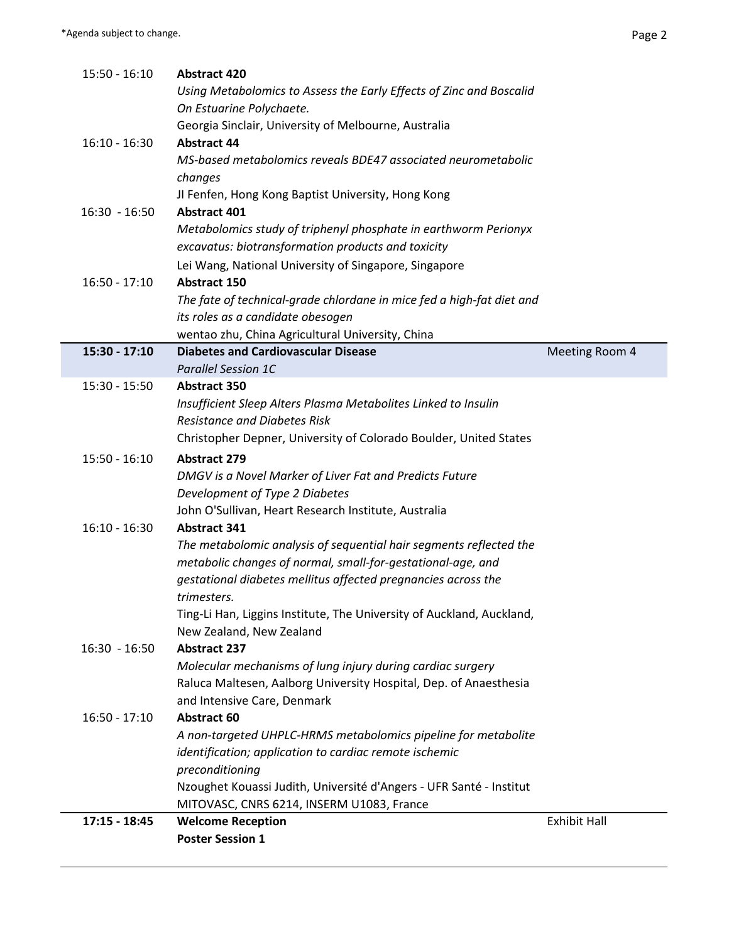Ī

| <b>Abstract 44</b><br>$16:10 - 16:30$<br>changes<br><b>Abstract 401</b><br>$16:30 - 16:50$<br>$16:50 - 17:10$<br><b>Abstract 150</b><br>15:30 - 17:10<br><b>Parallel Session 1C</b><br>$15:30 - 15:50$<br><b>Abstract 350</b><br><b>Abstract 279</b><br>$15:50 - 16:10$<br>$16:10 - 16:30$<br><b>Abstract 341</b><br>trimesters.<br><b>Abstract 237</b><br>$16:30 - 16:50$<br><b>Abstract 60</b><br>$16:50 - 17:10$<br>preconditioning<br>$17:15 - 18:45$ | A non-targeted UHPLC-HRMS metabolomics pipeline for metabolite<br>identification; application to cardiac remote ischemic<br>Nzoughet Kouassi Judith, Université d'Angers - UFR Santé - Institut<br>MITOVASC, CNRS 6214, INSERM U1083, France<br><b>Welcome Reception</b> | <b>Exhibit Hall</b> |
|-----------------------------------------------------------------------------------------------------------------------------------------------------------------------------------------------------------------------------------------------------------------------------------------------------------------------------------------------------------------------------------------------------------------------------------------------------------|--------------------------------------------------------------------------------------------------------------------------------------------------------------------------------------------------------------------------------------------------------------------------|---------------------|
|                                                                                                                                                                                                                                                                                                                                                                                                                                                           |                                                                                                                                                                                                                                                                          |                     |
|                                                                                                                                                                                                                                                                                                                                                                                                                                                           |                                                                                                                                                                                                                                                                          |                     |
|                                                                                                                                                                                                                                                                                                                                                                                                                                                           |                                                                                                                                                                                                                                                                          |                     |
|                                                                                                                                                                                                                                                                                                                                                                                                                                                           |                                                                                                                                                                                                                                                                          |                     |
|                                                                                                                                                                                                                                                                                                                                                                                                                                                           |                                                                                                                                                                                                                                                                          |                     |
|                                                                                                                                                                                                                                                                                                                                                                                                                                                           |                                                                                                                                                                                                                                                                          |                     |
|                                                                                                                                                                                                                                                                                                                                                                                                                                                           |                                                                                                                                                                                                                                                                          |                     |
|                                                                                                                                                                                                                                                                                                                                                                                                                                                           | and Intensive Care, Denmark                                                                                                                                                                                                                                              |                     |
|                                                                                                                                                                                                                                                                                                                                                                                                                                                           | Raluca Maltesen, Aalborg University Hospital, Dep. of Anaesthesia                                                                                                                                                                                                        |                     |
|                                                                                                                                                                                                                                                                                                                                                                                                                                                           | Molecular mechanisms of lung injury during cardiac surgery                                                                                                                                                                                                               |                     |
|                                                                                                                                                                                                                                                                                                                                                                                                                                                           |                                                                                                                                                                                                                                                                          |                     |
|                                                                                                                                                                                                                                                                                                                                                                                                                                                           | New Zealand, New Zealand                                                                                                                                                                                                                                                 |                     |
|                                                                                                                                                                                                                                                                                                                                                                                                                                                           | Ting-Li Han, Liggins Institute, The University of Auckland, Auckland,                                                                                                                                                                                                    |                     |
|                                                                                                                                                                                                                                                                                                                                                                                                                                                           |                                                                                                                                                                                                                                                                          |                     |
|                                                                                                                                                                                                                                                                                                                                                                                                                                                           | gestational diabetes mellitus affected pregnancies across the                                                                                                                                                                                                            |                     |
|                                                                                                                                                                                                                                                                                                                                                                                                                                                           | The metabolomic analysis of sequential hair segments reflected the<br>metabolic changes of normal, small-for-gestational-age, and                                                                                                                                        |                     |
|                                                                                                                                                                                                                                                                                                                                                                                                                                                           |                                                                                                                                                                                                                                                                          |                     |
|                                                                                                                                                                                                                                                                                                                                                                                                                                                           | John O'Sullivan, Heart Research Institute, Australia                                                                                                                                                                                                                     |                     |
|                                                                                                                                                                                                                                                                                                                                                                                                                                                           | Development of Type 2 Diabetes                                                                                                                                                                                                                                           |                     |
|                                                                                                                                                                                                                                                                                                                                                                                                                                                           | DMGV is a Novel Marker of Liver Fat and Predicts Future                                                                                                                                                                                                                  |                     |
|                                                                                                                                                                                                                                                                                                                                                                                                                                                           |                                                                                                                                                                                                                                                                          |                     |
|                                                                                                                                                                                                                                                                                                                                                                                                                                                           | Christopher Depner, University of Colorado Boulder, United States                                                                                                                                                                                                        |                     |
|                                                                                                                                                                                                                                                                                                                                                                                                                                                           | <b>Resistance and Diabetes Risk</b>                                                                                                                                                                                                                                      |                     |
|                                                                                                                                                                                                                                                                                                                                                                                                                                                           | Insufficient Sleep Alters Plasma Metabolites Linked to Insulin                                                                                                                                                                                                           |                     |
|                                                                                                                                                                                                                                                                                                                                                                                                                                                           |                                                                                                                                                                                                                                                                          |                     |
|                                                                                                                                                                                                                                                                                                                                                                                                                                                           |                                                                                                                                                                                                                                                                          |                     |
|                                                                                                                                                                                                                                                                                                                                                                                                                                                           | <b>Diabetes and Cardiovascular Disease</b>                                                                                                                                                                                                                               | Meeting Room 4      |
|                                                                                                                                                                                                                                                                                                                                                                                                                                                           | wentao zhu, China Agricultural University, China                                                                                                                                                                                                                         |                     |
|                                                                                                                                                                                                                                                                                                                                                                                                                                                           | its roles as a candidate obesogen                                                                                                                                                                                                                                        |                     |
|                                                                                                                                                                                                                                                                                                                                                                                                                                                           | The fate of technical-grade chlordane in mice fed a high-fat diet and                                                                                                                                                                                                    |                     |
|                                                                                                                                                                                                                                                                                                                                                                                                                                                           |                                                                                                                                                                                                                                                                          |                     |
|                                                                                                                                                                                                                                                                                                                                                                                                                                                           | Lei Wang, National University of Singapore, Singapore                                                                                                                                                                                                                    |                     |
|                                                                                                                                                                                                                                                                                                                                                                                                                                                           | excavatus: biotransformation products and toxicity                                                                                                                                                                                                                       |                     |
|                                                                                                                                                                                                                                                                                                                                                                                                                                                           | Metabolomics study of triphenyl phosphate in earthworm Perionyx                                                                                                                                                                                                          |                     |
|                                                                                                                                                                                                                                                                                                                                                                                                                                                           |                                                                                                                                                                                                                                                                          |                     |
|                                                                                                                                                                                                                                                                                                                                                                                                                                                           | JI Fenfen, Hong Kong Baptist University, Hong Kong                                                                                                                                                                                                                       |                     |
|                                                                                                                                                                                                                                                                                                                                                                                                                                                           |                                                                                                                                                                                                                                                                          |                     |
|                                                                                                                                                                                                                                                                                                                                                                                                                                                           | MS-based metabolomics reveals BDE47 associated neurometabolic                                                                                                                                                                                                            |                     |
|                                                                                                                                                                                                                                                                                                                                                                                                                                                           | Georgia Sinclair, University of Melbourne, Australia                                                                                                                                                                                                                     |                     |
|                                                                                                                                                                                                                                                                                                                                                                                                                                                           | On Estuarine Polychaete.                                                                                                                                                                                                                                                 |                     |
|                                                                                                                                                                                                                                                                                                                                                                                                                                                           | Using Metabolomics to Assess the Early Effects of Zinc and Boscalid                                                                                                                                                                                                      |                     |
| $15:50 - 16:10$<br><b>Abstract 420</b>                                                                                                                                                                                                                                                                                                                                                                                                                    |                                                                                                                                                                                                                                                                          |                     |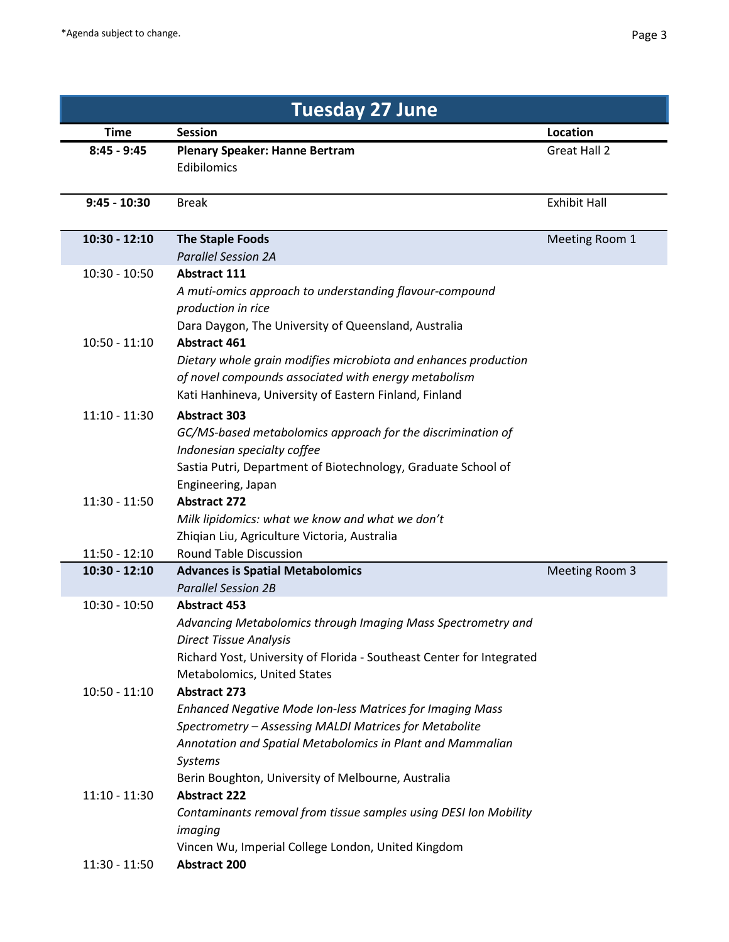| <b>Tuesday 27 June</b>             |                                                                                                                                                                                                                                                                                  |                     |  |
|------------------------------------|----------------------------------------------------------------------------------------------------------------------------------------------------------------------------------------------------------------------------------------------------------------------------------|---------------------|--|
| <b>Time</b>                        | <b>Session</b>                                                                                                                                                                                                                                                                   | <b>Location</b>     |  |
| $8:45 - 9:45$                      | <b>Plenary Speaker: Hanne Bertram</b><br>Edibilomics                                                                                                                                                                                                                             | Great Hall 2        |  |
| $9:45 - 10:30$                     | <b>Break</b>                                                                                                                                                                                                                                                                     | <b>Exhibit Hall</b> |  |
| 10:30 - 12:10                      | <b>The Staple Foods</b><br><b>Parallel Session 2A</b>                                                                                                                                                                                                                            | Meeting Room 1      |  |
| $10:30 - 10:50$                    | <b>Abstract 111</b><br>A muti-omics approach to understanding flavour-compound<br>production in rice<br>Dara Daygon, The University of Queensland, Australia                                                                                                                     |                     |  |
| $10:50 - 11:10$                    | <b>Abstract 461</b><br>Dietary whole grain modifies microbiota and enhances production<br>of novel compounds associated with energy metabolism<br>Kati Hanhineva, University of Eastern Finland, Finland                                                                         |                     |  |
| $11:10 - 11:30$                    | <b>Abstract 303</b><br>GC/MS-based metabolomics approach for the discrimination of<br>Indonesian specialty coffee<br>Sastia Putri, Department of Biotechnology, Graduate School of<br>Engineering, Japan                                                                         |                     |  |
| $11:30 - 11:50$<br>$11:50 - 12:10$ | <b>Abstract 272</b><br>Milk lipidomics: what we know and what we don't<br>Zhiqian Liu, Agriculture Victoria, Australia<br><b>Round Table Discussion</b>                                                                                                                          |                     |  |
| 10:30 - 12:10                      | <b>Advances is Spatial Metabolomics</b><br><b>Parallel Session 2B</b>                                                                                                                                                                                                            | Meeting Room 3      |  |
| $10:30 - 10:50$                    | <b>Abstract 453</b><br>Advancing Metabolomics through Imaging Mass Spectrometry and<br><b>Direct Tissue Analysis</b><br>Richard Yost, University of Florida - Southeast Center for Integrated<br>Metabolomics, United States                                                     |                     |  |
| $10:50 - 11:10$                    | <b>Abstract 273</b><br>Enhanced Negative Mode Ion-less Matrices for Imaging Mass<br>Spectrometry - Assessing MALDI Matrices for Metabolite<br>Annotation and Spatial Metabolomics in Plant and Mammalian<br><b>Systems</b><br>Berin Boughton, University of Melbourne, Australia |                     |  |
| $11:10 - 11:30$                    | <b>Abstract 222</b><br>Contaminants removal from tissue samples using DESI Ion Mobility<br>imaging<br>Vincen Wu, Imperial College London, United Kingdom                                                                                                                         |                     |  |
| $11:30 - 11:50$                    | <b>Abstract 200</b>                                                                                                                                                                                                                                                              |                     |  |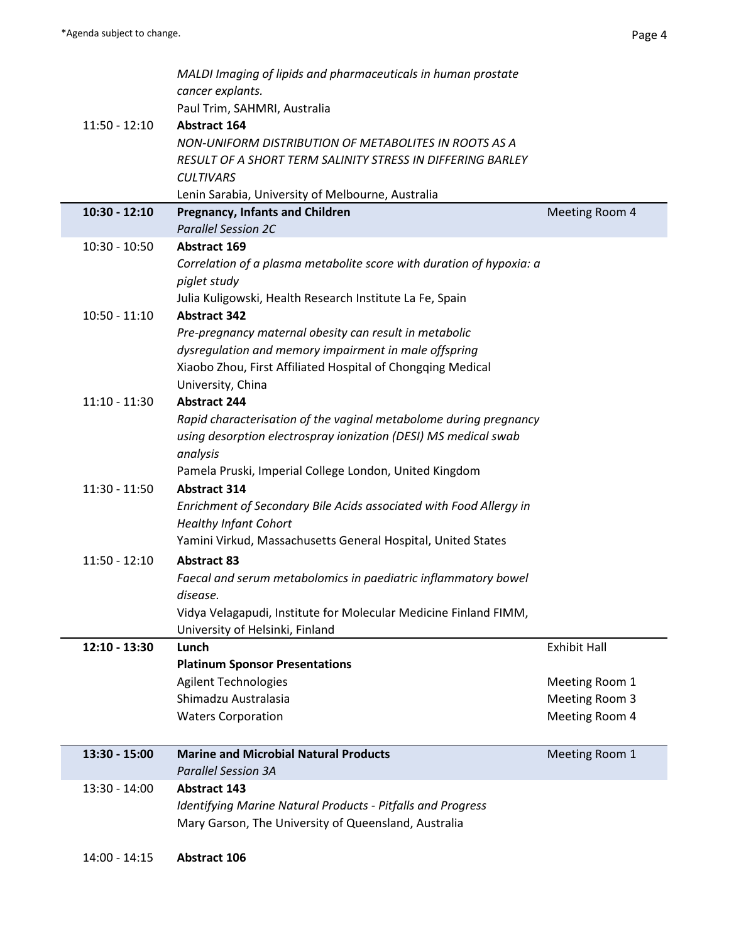| $11:50 - 12:10$ | MALDI Imaging of lipids and pharmaceuticals in human prostate<br>cancer explants.<br>Paul Trim, SAHMRI, Australia<br><b>Abstract 164</b><br>NON-UNIFORM DISTRIBUTION OF METABOLITES IN ROOTS AS A<br>RESULT OF A SHORT TERM SALINITY STRESS IN DIFFERING BARLEY<br><b>CULTIVARS</b> |                     |
|-----------------|-------------------------------------------------------------------------------------------------------------------------------------------------------------------------------------------------------------------------------------------------------------------------------------|---------------------|
|                 | Lenin Sarabia, University of Melbourne, Australia                                                                                                                                                                                                                                   |                     |
| $10:30 - 12:10$ | <b>Pregnancy, Infants and Children</b>                                                                                                                                                                                                                                              | Meeting Room 4      |
|                 | <b>Parallel Session 2C</b>                                                                                                                                                                                                                                                          |                     |
| $10:30 - 10:50$ | Abstract 169                                                                                                                                                                                                                                                                        |                     |
|                 | Correlation of a plasma metabolite score with duration of hypoxia: a                                                                                                                                                                                                                |                     |
|                 | piglet study                                                                                                                                                                                                                                                                        |                     |
|                 | Julia Kuligowski, Health Research Institute La Fe, Spain                                                                                                                                                                                                                            |                     |
| $10:50 - 11:10$ | <b>Abstract 342</b>                                                                                                                                                                                                                                                                 |                     |
|                 | Pre-pregnancy maternal obesity can result in metabolic                                                                                                                                                                                                                              |                     |
|                 | dysregulation and memory impairment in male offspring                                                                                                                                                                                                                               |                     |
|                 | Xiaobo Zhou, First Affiliated Hospital of Chongqing Medical                                                                                                                                                                                                                         |                     |
|                 | University, China                                                                                                                                                                                                                                                                   |                     |
| $11:10 - 11:30$ | <b>Abstract 244</b>                                                                                                                                                                                                                                                                 |                     |
|                 | Rapid characterisation of the vaginal metabolome during pregnancy                                                                                                                                                                                                                   |                     |
|                 | using desorption electrospray ionization (DESI) MS medical swab                                                                                                                                                                                                                     |                     |
|                 | analysis                                                                                                                                                                                                                                                                            |                     |
|                 | Pamela Pruski, Imperial College London, United Kingdom                                                                                                                                                                                                                              |                     |
| $11:30 - 11:50$ | <b>Abstract 314</b>                                                                                                                                                                                                                                                                 |                     |
|                 | Enrichment of Secondary Bile Acids associated with Food Allergy in                                                                                                                                                                                                                  |                     |
|                 | <b>Healthy Infant Cohort</b>                                                                                                                                                                                                                                                        |                     |
|                 | Yamini Virkud, Massachusetts General Hospital, United States                                                                                                                                                                                                                        |                     |
| $11:50 - 12:10$ | <b>Abstract 83</b>                                                                                                                                                                                                                                                                  |                     |
|                 | Faecal and serum metabolomics in paediatric inflammatory bowel                                                                                                                                                                                                                      |                     |
|                 | disease.                                                                                                                                                                                                                                                                            |                     |
|                 | Vidya Velagapudi, Institute for Molecular Medicine Finland FIMM,                                                                                                                                                                                                                    |                     |
|                 | University of Helsinki, Finland                                                                                                                                                                                                                                                     |                     |
| $12:10 - 13:30$ | Lunch                                                                                                                                                                                                                                                                               | <b>Exhibit Hall</b> |
|                 | <b>Platinum Sponsor Presentations</b>                                                                                                                                                                                                                                               |                     |
|                 | <b>Agilent Technologies</b>                                                                                                                                                                                                                                                         | Meeting Room 1      |
|                 | Shimadzu Australasia                                                                                                                                                                                                                                                                | Meeting Room 3      |
|                 | <b>Waters Corporation</b>                                                                                                                                                                                                                                                           | Meeting Room 4      |
|                 |                                                                                                                                                                                                                                                                                     |                     |
| 13:30 - 15:00   | <b>Marine and Microbial Natural Products</b>                                                                                                                                                                                                                                        | Meeting Room 1      |
|                 | <b>Parallel Session 3A</b>                                                                                                                                                                                                                                                          |                     |
| 13:30 - 14:00   | <b>Abstract 143</b>                                                                                                                                                                                                                                                                 |                     |
|                 | Identifying Marine Natural Products - Pitfalls and Progress                                                                                                                                                                                                                         |                     |
|                 | Mary Garson, The University of Queensland, Australia                                                                                                                                                                                                                                |                     |
|                 |                                                                                                                                                                                                                                                                                     |                     |
| $14:00 - 14:15$ | Abstract 106                                                                                                                                                                                                                                                                        |                     |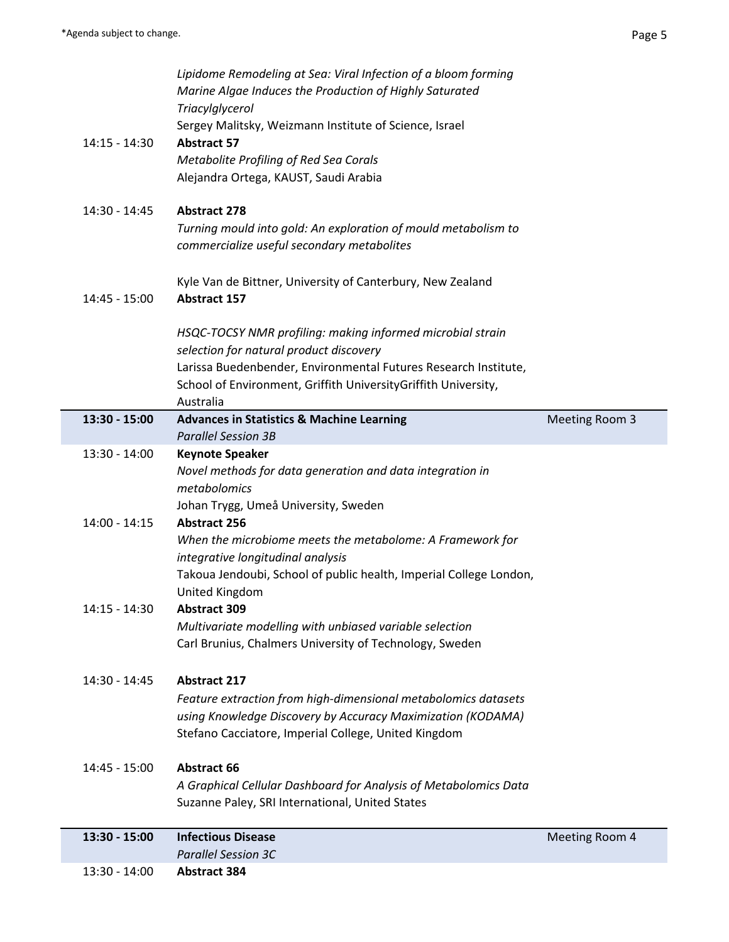|                 | 13:30 - 14:00 | <b>Abstract 384</b>                                                                                                 |                |
|-----------------|---------------|---------------------------------------------------------------------------------------------------------------------|----------------|
|                 |               | <b>Parallel Session 3C</b>                                                                                          |                |
| 13:30 - 15:00   |               | <b>Infectious Disease</b>                                                                                           | Meeting Room 4 |
|                 |               | Suzanne Paley, SRI International, United States                                                                     |                |
|                 |               | A Graphical Cellular Dashboard for Analysis of Metabolomics Data                                                    |                |
| 14:45 - 15:00   |               | <b>Abstract 66</b>                                                                                                  |                |
|                 |               |                                                                                                                     |                |
|                 |               | using Knowledge Discovery by Accuracy Maximization (KODAMA)<br>Stefano Cacciatore, Imperial College, United Kingdom |                |
|                 |               | Feature extraction from high-dimensional metabolomics datasets                                                      |                |
| 14:30 - 14:45   |               | <b>Abstract 217</b>                                                                                                 |                |
|                 |               |                                                                                                                     |                |
|                 |               | Carl Brunius, Chalmers University of Technology, Sweden                                                             |                |
|                 |               | Multivariate modelling with unbiased variable selection                                                             |                |
| 14:15 - 14:30   |               | <b>Abstract 309</b>                                                                                                 |                |
|                 |               | United Kingdom                                                                                                      |                |
|                 |               | integrative longitudinal analysis<br>Takoua Jendoubi, School of public health, Imperial College London,             |                |
|                 |               | When the microbiome meets the metabolome: A Framework for                                                           |                |
| $14:00 - 14:15$ |               | <b>Abstract 256</b>                                                                                                 |                |
|                 |               | Johan Trygg, Umeå University, Sweden                                                                                |                |
|                 |               | metabolomics                                                                                                        |                |
|                 |               | Novel methods for data generation and data integration in                                                           |                |
| 13:30 - 14:00   |               | <b>Keynote Speaker</b>                                                                                              |                |
|                 |               | <b>Parallel Session 3B</b>                                                                                          |                |
| 13:30 - 15:00   |               | Australia<br><b>Advances in Statistics &amp; Machine Learning</b>                                                   | Meeting Room 3 |
|                 |               | School of Environment, Griffith University Griffith University,                                                     |                |
|                 |               | Larissa Buedenbender, Environmental Futures Research Institute,                                                     |                |
|                 |               | selection for natural product discovery                                                                             |                |
|                 |               | HSQC-TOCSY NMR profiling: making informed microbial strain                                                          |                |
|                 |               |                                                                                                                     |                |
| 14:45 - 15:00   |               | Kyle Van de Bittner, University of Canterbury, New Zealand<br><b>Abstract 157</b>                                   |                |
|                 |               |                                                                                                                     |                |
|                 |               | commercialize useful secondary metabolites                                                                          |                |
|                 |               | Turning mould into gold: An exploration of mould metabolism to                                                      |                |
| 14:30 - 14:45   |               | <b>Abstract 278</b>                                                                                                 |                |
|                 |               |                                                                                                                     |                |
|                 |               | Alejandra Ortega, KAUST, Saudi Arabia                                                                               |                |
|                 |               | Metabolite Profiling of Red Sea Corals                                                                              |                |
| 14:15 - 14:30   |               | <b>Abstract 57</b>                                                                                                  |                |
|                 |               | Triacylglycerol<br>Sergey Malitsky, Weizmann Institute of Science, Israel                                           |                |
|                 |               | Marine Algae Induces the Production of Highly Saturated                                                             |                |
|                 |               | Lipidome Remodeling at Sea: Viral Infection of a bloom forming                                                      |                |
|                 |               |                                                                                                                     |                |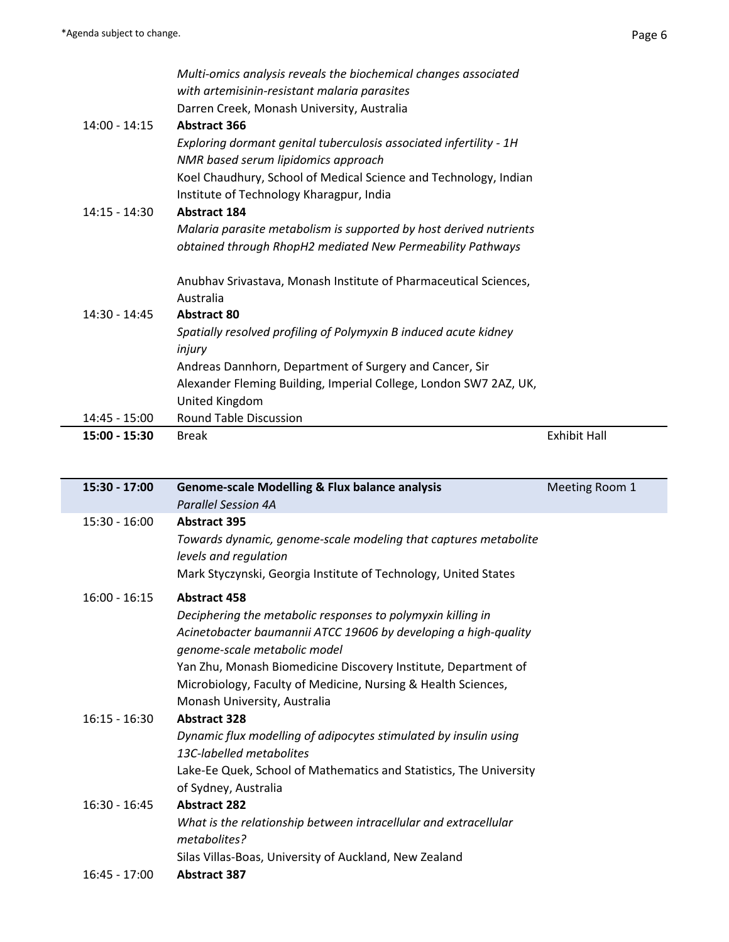÷

| 15:00 - 15:30   | <b>Break</b>                                                       | <b>Exhibit Hall</b> |  |
|-----------------|--------------------------------------------------------------------|---------------------|--|
| 14:45 - 15:00   | <b>Round Table Discussion</b>                                      |                     |  |
|                 | United Kingdom                                                     |                     |  |
|                 | Alexander Fleming Building, Imperial College, London SW7 2AZ, UK,  |                     |  |
|                 | Andreas Dannhorn, Department of Surgery and Cancer, Sir            |                     |  |
|                 | injury                                                             |                     |  |
|                 | Spatially resolved profiling of Polymyxin B induced acute kidney   |                     |  |
| $14:30 - 14:45$ | <b>Abstract 80</b>                                                 |                     |  |
|                 | Australia                                                          |                     |  |
|                 | Anubhav Srivastava, Monash Institute of Pharmaceutical Sciences,   |                     |  |
|                 | obtained through RhopH2 mediated New Permeability Pathways         |                     |  |
|                 | Malaria parasite metabolism is supported by host derived nutrients |                     |  |
| $14:15 - 14:30$ | <b>Abstract 184</b>                                                |                     |  |
|                 | Institute of Technology Kharagpur, India                           |                     |  |
|                 | Koel Chaudhury, School of Medical Science and Technology, Indian   |                     |  |
|                 | NMR based serum lipidomics approach                                |                     |  |
|                 | Exploring dormant genital tuberculosis associated infertility - 1H |                     |  |
| $14:00 - 14:15$ | <b>Abstract 366</b>                                                |                     |  |
|                 | Darren Creek, Monash University, Australia                         |                     |  |
|                 | with artemisinin-resistant malaria parasites                       |                     |  |
|                 | Multi-omics analysis reveals the biochemical changes associated    |                     |  |
|                 |                                                                    |                     |  |

| 15:30 - 17:00   | <b>Genome-scale Modelling &amp; Flux balance analysis</b>          | Meeting Room 1 |
|-----------------|--------------------------------------------------------------------|----------------|
|                 | <b>Parallel Session 4A</b>                                         |                |
| $15:30 - 16:00$ | <b>Abstract 395</b>                                                |                |
|                 | Towards dynamic, genome-scale modeling that captures metabolite    |                |
|                 | levels and regulation                                              |                |
|                 | Mark Styczynski, Georgia Institute of Technology, United States    |                |
| $16:00 - 16:15$ | <b>Abstract 458</b>                                                |                |
|                 | Deciphering the metabolic responses to polymyxin killing in        |                |
|                 | Acinetobacter baumannii ATCC 19606 by developing a high-quality    |                |
|                 | genome-scale metabolic model                                       |                |
|                 | Yan Zhu, Monash Biomedicine Discovery Institute, Department of     |                |
|                 | Microbiology, Faculty of Medicine, Nursing & Health Sciences,      |                |
|                 | Monash University, Australia                                       |                |
| $16:15 - 16:30$ | <b>Abstract 328</b>                                                |                |
|                 | Dynamic flux modelling of adipocytes stimulated by insulin using   |                |
|                 | 13C-labelled metabolites                                           |                |
|                 | Lake-Ee Quek, School of Mathematics and Statistics, The University |                |
|                 | of Sydney, Australia                                               |                |
| $16:30 - 16:45$ | <b>Abstract 282</b>                                                |                |
|                 | What is the relationship between intracellular and extracellular   |                |
|                 | metabolites?                                                       |                |
|                 | Silas Villas-Boas, University of Auckland, New Zealand             |                |
| 16:45 - 17:00   | <b>Abstract 387</b>                                                |                |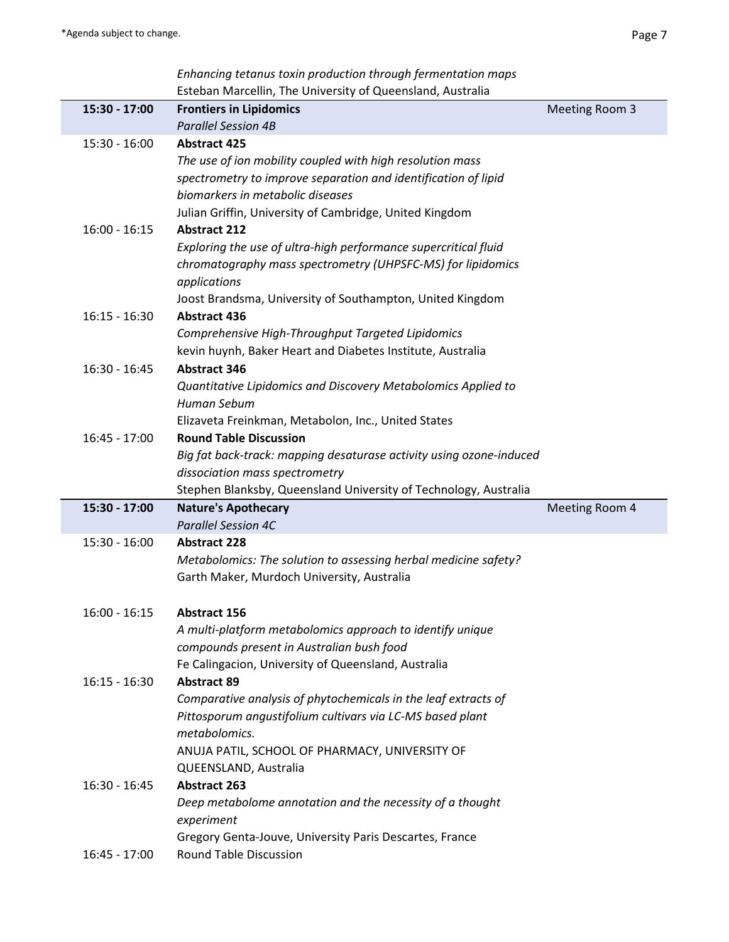| Enhancing tetanus toxin production through fermentation maps      |
|-------------------------------------------------------------------|
| <b>Esteban Marcellin, The University of Queensland, Australia</b> |

|                 | Esteban Marcellin, The University of Queensland, Australia                               |                |
|-----------------|------------------------------------------------------------------------------------------|----------------|
| 15:30 - 17:00   | <b>Frontiers in Lipidomics</b>                                                           | Meeting Room 3 |
|                 | <b>Parallel Session 4B</b>                                                               |                |
| $15:30 - 16:00$ | <b>Abstract 425</b>                                                                      |                |
|                 | The use of ion mobility coupled with high resolution mass                                |                |
|                 | spectrometry to improve separation and identification of lipid                           |                |
|                 | biomarkers in metabolic diseases                                                         |                |
|                 | Julian Griffin, University of Cambridge, United Kingdom                                  |                |
| $16:00 - 16:15$ | <b>Abstract 212</b>                                                                      |                |
|                 | Exploring the use of ultra-high performance supercritical fluid                          |                |
|                 | chromatography mass spectrometry (UHPSFC-MS) for lipidomics                              |                |
|                 | applications                                                                             |                |
|                 | Joost Brandsma, University of Southampton, United Kingdom                                |                |
| $16:15 - 16:30$ | <b>Abstract 436</b>                                                                      |                |
|                 | Comprehensive High-Throughput Targeted Lipidomics                                        |                |
|                 | kevin huynh, Baker Heart and Diabetes Institute, Australia                               |                |
| $16:30 - 16:45$ | <b>Abstract 346</b>                                                                      |                |
|                 | Quantitative Lipidomics and Discovery Metabolomics Applied to                            |                |
|                 | Human Sebum                                                                              |                |
|                 | Elizaveta Freinkman, Metabolon, Inc., United States                                      |                |
| $16:45 - 17:00$ | <b>Round Table Discussion</b>                                                            |                |
|                 | Big fat back-track: mapping desaturase activity using ozone-induced                      |                |
|                 | dissociation mass spectrometry                                                           |                |
|                 |                                                                                          |                |
|                 | Stephen Blanksby, Queensland University of Technology, Australia                         |                |
| 15:30 - 17:00   | <b>Nature's Apothecary</b>                                                               | Meeting Room 4 |
|                 | <b>Parallel Session 4C</b>                                                               |                |
| $15:30 - 16:00$ | <b>Abstract 228</b>                                                                      |                |
|                 | Metabolomics: The solution to assessing herbal medicine safety?                          |                |
|                 | Garth Maker, Murdoch University, Australia                                               |                |
|                 |                                                                                          |                |
| $16:00 - 16:15$ | <b>Abstract 156</b>                                                                      |                |
|                 | A multi-platform metabolomics approach to identify unique                                |                |
|                 | compounds present in Australian bush food                                                |                |
|                 | Fe Calingacion, University of Queensland, Australia                                      |                |
| $16:15 - 16:30$ | <b>Abstract 89</b>                                                                       |                |
|                 | Comparative analysis of phytochemicals in the leaf extracts of                           |                |
|                 | Pittosporum angustifolium cultivars via LC-MS based plant                                |                |
|                 | metabolomics.                                                                            |                |
|                 | ANUJA PATIL, SCHOOL OF PHARMACY, UNIVERSITY OF                                           |                |
|                 | QUEENSLAND, Australia                                                                    |                |
| $16:30 - 16:45$ | <b>Abstract 263</b>                                                                      |                |
|                 | Deep metabolome annotation and the necessity of a thought                                |                |
|                 | experiment                                                                               |                |
| $16:45 - 17:00$ | Gregory Genta-Jouve, University Paris Descartes, France<br><b>Round Table Discussion</b> |                |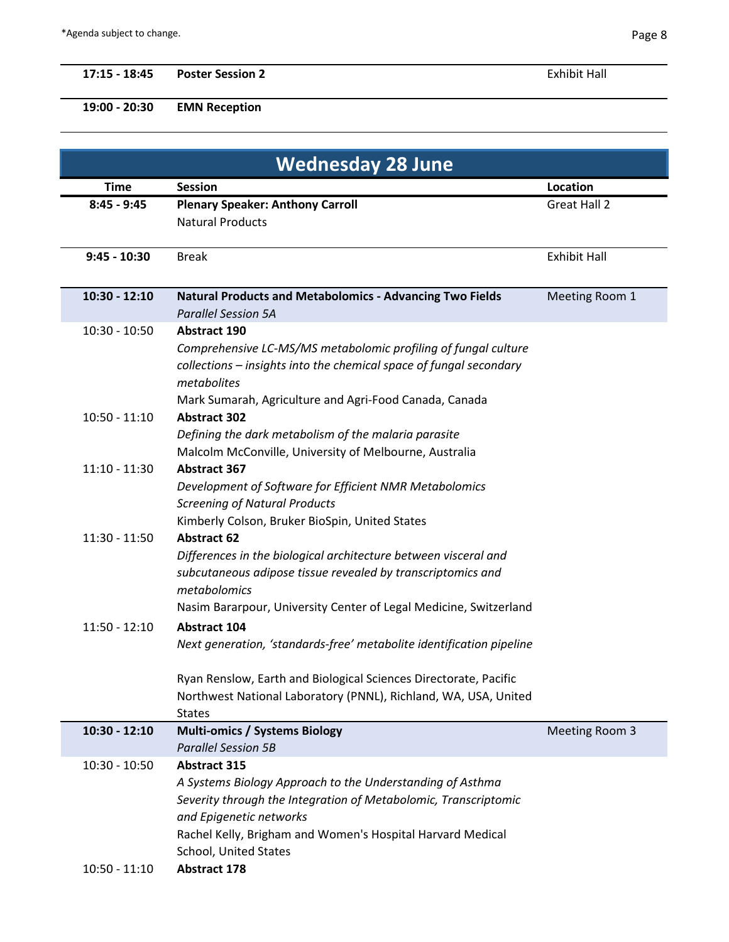## **17:15 - 18:45 Poster Session 2** Exhibit Hall

**19:00 - 20:30 EMN Reception** 

| <b>Wednesday 28 June</b> |                                                                                                                                     |                     |  |
|--------------------------|-------------------------------------------------------------------------------------------------------------------------------------|---------------------|--|
| <b>Time</b>              | <b>Session</b>                                                                                                                      | Location            |  |
| $8:45 - 9:45$            | <b>Plenary Speaker: Anthony Carroll</b>                                                                                             | <b>Great Hall 2</b> |  |
|                          | <b>Natural Products</b>                                                                                                             |                     |  |
|                          |                                                                                                                                     |                     |  |
| $9:45 - 10:30$           | <b>Break</b>                                                                                                                        | <b>Exhibit Hall</b> |  |
|                          |                                                                                                                                     |                     |  |
| $10:30 - 12:10$          | <b>Natural Products and Metabolomics - Advancing Two Fields</b>                                                                     | Meeting Room 1      |  |
| $10:30 - 10:50$          | <b>Parallel Session 5A</b><br><b>Abstract 190</b>                                                                                   |                     |  |
|                          | Comprehensive LC-MS/MS metabolomic profiling of fungal culture                                                                      |                     |  |
|                          | collections - insights into the chemical space of fungal secondary                                                                  |                     |  |
|                          | metabolites                                                                                                                         |                     |  |
|                          | Mark Sumarah, Agriculture and Agri-Food Canada, Canada                                                                              |                     |  |
| $10:50 - 11:10$          | <b>Abstract 302</b>                                                                                                                 |                     |  |
|                          | Defining the dark metabolism of the malaria parasite                                                                                |                     |  |
|                          | Malcolm McConville, University of Melbourne, Australia                                                                              |                     |  |
| $11:10 - 11:30$          | <b>Abstract 367</b>                                                                                                                 |                     |  |
|                          | Development of Software for Efficient NMR Metabolomics                                                                              |                     |  |
|                          | <b>Screening of Natural Products</b>                                                                                                |                     |  |
|                          | Kimberly Colson, Bruker BioSpin, United States                                                                                      |                     |  |
| $11:30 - 11:50$          | <b>Abstract 62</b>                                                                                                                  |                     |  |
|                          | Differences in the biological architecture between visceral and                                                                     |                     |  |
|                          | subcutaneous adipose tissue revealed by transcriptomics and                                                                         |                     |  |
|                          | metabolomics                                                                                                                        |                     |  |
|                          | Nasim Bararpour, University Center of Legal Medicine, Switzerland                                                                   |                     |  |
| $11:50 - 12:10$          | <b>Abstract 104</b>                                                                                                                 |                     |  |
|                          | Next generation, 'standards-free' metabolite identification pipeline                                                                |                     |  |
|                          |                                                                                                                                     |                     |  |
|                          | Ryan Renslow, Earth and Biological Sciences Directorate, Pacific<br>Northwest National Laboratory (PNNL), Richland, WA, USA, United |                     |  |
|                          | <b>States</b>                                                                                                                       |                     |  |
| $10:30 - 12:10$          | <b>Multi-omics / Systems Biology</b>                                                                                                | Meeting Room 3      |  |
|                          | <b>Parallel Session 5B</b>                                                                                                          |                     |  |
| $10:30 - 10:50$          | <b>Abstract 315</b>                                                                                                                 |                     |  |
|                          | A Systems Biology Approach to the Understanding of Asthma                                                                           |                     |  |
|                          | Severity through the Integration of Metabolomic, Transcriptomic                                                                     |                     |  |
|                          | and Epigenetic networks                                                                                                             |                     |  |
|                          | Rachel Kelly, Brigham and Women's Hospital Harvard Medical                                                                          |                     |  |
|                          | School, United States                                                                                                               |                     |  |
| $10:50 - 11:10$          | <b>Abstract 178</b>                                                                                                                 |                     |  |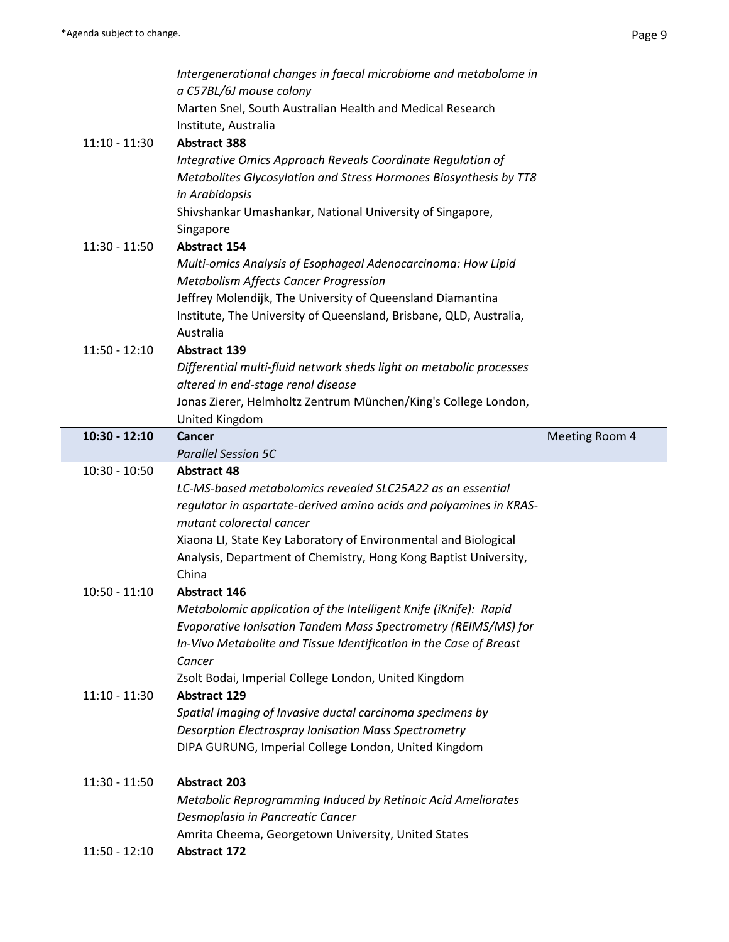|                 | Intergenerational changes in faecal microbiome and metabolome in                                                                     |                |
|-----------------|--------------------------------------------------------------------------------------------------------------------------------------|----------------|
|                 | a C57BL/6J mouse colony                                                                                                              |                |
|                 | Marten Snel, South Australian Health and Medical Research                                                                            |                |
|                 | Institute, Australia                                                                                                                 |                |
| $11:10 - 11:30$ | <b>Abstract 388</b>                                                                                                                  |                |
|                 | Integrative Omics Approach Reveals Coordinate Regulation of                                                                          |                |
|                 | Metabolites Glycosylation and Stress Hormones Biosynthesis by TT8                                                                    |                |
|                 | in Arabidopsis                                                                                                                       |                |
|                 | Shivshankar Umashankar, National University of Singapore,                                                                            |                |
| 11:30 - 11:50   | Singapore<br><b>Abstract 154</b>                                                                                                     |                |
|                 | Multi-omics Analysis of Esophageal Adenocarcinoma: How Lipid                                                                         |                |
|                 | <b>Metabolism Affects Cancer Progression</b>                                                                                         |                |
|                 | Jeffrey Molendijk, The University of Queensland Diamantina                                                                           |                |
|                 | Institute, The University of Queensland, Brisbane, QLD, Australia,                                                                   |                |
|                 | Australia                                                                                                                            |                |
| $11:50 - 12:10$ | <b>Abstract 139</b>                                                                                                                  |                |
|                 | Differential multi-fluid network sheds light on metabolic processes                                                                  |                |
|                 | altered in end-stage renal disease                                                                                                   |                |
|                 | Jonas Zierer, Helmholtz Zentrum München/King's College London,                                                                       |                |
|                 | United Kingdom                                                                                                                       |                |
| $10:30 - 12:10$ | <b>Cancer</b>                                                                                                                        | Meeting Room 4 |
|                 | <b>Parallel Session 5C</b>                                                                                                           |                |
|                 |                                                                                                                                      |                |
| $10:30 - 10:50$ | <b>Abstract 48</b>                                                                                                                   |                |
|                 | LC-MS-based metabolomics revealed SLC25A22 as an essential                                                                           |                |
|                 | regulator in aspartate-derived amino acids and polyamines in KRAS-                                                                   |                |
|                 | mutant colorectal cancer                                                                                                             |                |
|                 | Xiaona LI, State Key Laboratory of Environmental and Biological                                                                      |                |
|                 | Analysis, Department of Chemistry, Hong Kong Baptist University,                                                                     |                |
|                 | China                                                                                                                                |                |
| $10:50 - 11:10$ | <b>Abstract 146</b>                                                                                                                  |                |
|                 | Metabolomic application of the Intelligent Knife (iKnife): Rapid                                                                     |                |
|                 | Evaporative Ionisation Tandem Mass Spectrometry (REIMS/MS) for<br>In-Vivo Metabolite and Tissue Identification in the Case of Breast |                |
|                 | Cancer                                                                                                                               |                |
|                 | Zsolt Bodai, Imperial College London, United Kingdom                                                                                 |                |
| $11:10 - 11:30$ | <b>Abstract 129</b>                                                                                                                  |                |
|                 | Spatial Imaging of Invasive ductal carcinoma specimens by                                                                            |                |
|                 | <b>Desorption Electrospray Ionisation Mass Spectrometry</b>                                                                          |                |
|                 | DIPA GURUNG, Imperial College London, United Kingdom                                                                                 |                |
|                 |                                                                                                                                      |                |
| 11:30 - 11:50   | <b>Abstract 203</b>                                                                                                                  |                |
|                 | Metabolic Reprogramming Induced by Retinoic Acid Ameliorates                                                                         |                |
|                 | Desmoplasia in Pancreatic Cancer                                                                                                     |                |
| $11:50 - 12:10$ | Amrita Cheema, Georgetown University, United States<br><b>Abstract 172</b>                                                           |                |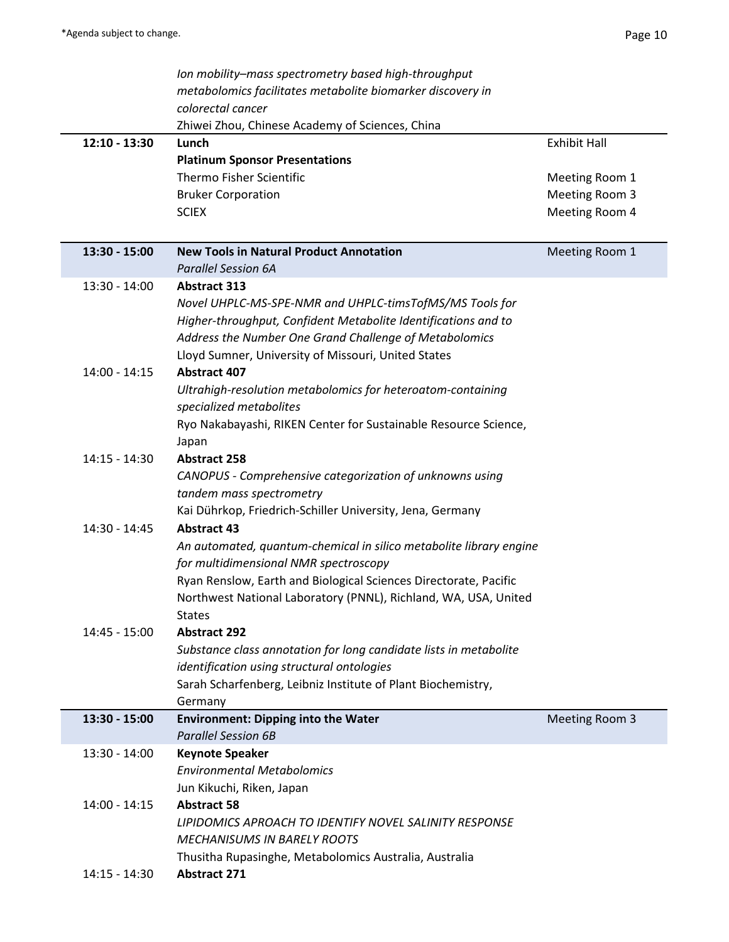|                 | Ion mobility-mass spectrometry based high-throughput               |                     |
|-----------------|--------------------------------------------------------------------|---------------------|
|                 | metabolomics facilitates metabolite biomarker discovery in         |                     |
|                 | colorectal cancer                                                  |                     |
|                 | Zhiwei Zhou, Chinese Academy of Sciences, China                    |                     |
| $12:10 - 13:30$ | Lunch                                                              | <b>Exhibit Hall</b> |
|                 | <b>Platinum Sponsor Presentations</b>                              |                     |
|                 | Thermo Fisher Scientific                                           | Meeting Room 1      |
|                 | <b>Bruker Corporation</b>                                          | Meeting Room 3      |
|                 | <b>SCIEX</b>                                                       | Meeting Room 4      |
|                 |                                                                    |                     |
|                 | <b>New Tools in Natural Product Annotation</b>                     |                     |
| 13:30 - 15:00   | <b>Parallel Session 6A</b>                                         | Meeting Room 1      |
|                 | <b>Abstract 313</b>                                                |                     |
| 13:30 - 14:00   |                                                                    |                     |
|                 | Novel UHPLC-MS-SPE-NMR and UHPLC-timsTofMS/MS Tools for            |                     |
|                 | Higher-throughput, Confident Metabolite Identifications and to     |                     |
|                 | Address the Number One Grand Challenge of Metabolomics             |                     |
|                 | Lloyd Sumner, University of Missouri, United States                |                     |
| $14:00 - 14:15$ | <b>Abstract 407</b>                                                |                     |
|                 | Ultrahigh-resolution metabolomics for heteroatom-containing        |                     |
|                 | specialized metabolites                                            |                     |
|                 | Ryo Nakabayashi, RIKEN Center for Sustainable Resource Science,    |                     |
|                 | Japan                                                              |                     |
| 14:15 - 14:30   | <b>Abstract 258</b>                                                |                     |
|                 | CANOPUS - Comprehensive categorization of unknowns using           |                     |
|                 | tandem mass spectrometry                                           |                     |
|                 | Kai Dührkop, Friedrich-Schiller University, Jena, Germany          |                     |
| 14:30 - 14:45   | <b>Abstract 43</b>                                                 |                     |
|                 | An automated, quantum-chemical in silico metabolite library engine |                     |
|                 | for multidimensional NMR spectroscopy                              |                     |
|                 | Ryan Renslow, Earth and Biological Sciences Directorate, Pacific   |                     |
|                 | Northwest National Laboratory (PNNL), Richland, WA, USA, United    |                     |
|                 | <b>States</b>                                                      |                     |
| 14:45 - 15:00   | <b>Abstract 292</b>                                                |                     |
|                 | Substance class annotation for long candidate lists in metabolite  |                     |
|                 | identification using structural ontologies                         |                     |
|                 | Sarah Scharfenberg, Leibniz Institute of Plant Biochemistry,       |                     |
|                 | Germany                                                            |                     |
| 13:30 - 15:00   | <b>Environment: Dipping into the Water</b>                         | Meeting Room 3      |
|                 | <b>Parallel Session 6B</b>                                         |                     |
| $13:30 - 14:00$ | <b>Keynote Speaker</b>                                             |                     |
|                 | <b>Environmental Metabolomics</b>                                  |                     |
|                 | Jun Kikuchi, Riken, Japan                                          |                     |
| $14:00 - 14:15$ | <b>Abstract 58</b>                                                 |                     |
|                 | LIPIDOMICS APROACH TO IDENTIFY NOVEL SALINITY RESPONSE             |                     |
|                 | <b>MECHANISUMS IN BARELY ROOTS</b>                                 |                     |
|                 | Thusitha Rupasinghe, Metabolomics Australia, Australia             |                     |
| $14:15 - 14:30$ | <b>Abstract 271</b>                                                |                     |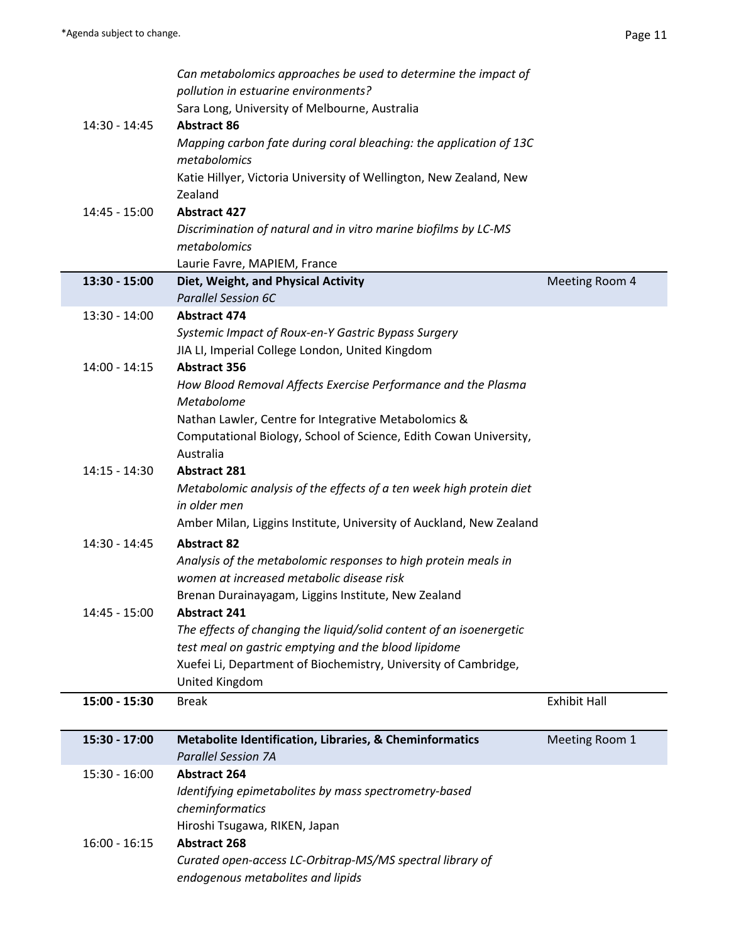|                 | Can metabolomics approaches be used to determine the impact of                                                              |                     |
|-----------------|-----------------------------------------------------------------------------------------------------------------------------|---------------------|
|                 | pollution in estuarine environments?                                                                                        |                     |
|                 | Sara Long, University of Melbourne, Australia                                                                               |                     |
| 14:30 - 14:45   | <b>Abstract 86</b>                                                                                                          |                     |
|                 | Mapping carbon fate during coral bleaching: the application of 13C<br>metabolomics                                          |                     |
|                 | Katie Hillyer, Victoria University of Wellington, New Zealand, New                                                          |                     |
|                 | Zealand                                                                                                                     |                     |
| 14:45 - 15:00   | <b>Abstract 427</b>                                                                                                         |                     |
|                 | Discrimination of natural and in vitro marine biofilms by LC-MS                                                             |                     |
|                 | metabolomics                                                                                                                |                     |
|                 | Laurie Favre, MAPIEM, France                                                                                                |                     |
| 13:30 - 15:00   | Diet, Weight, and Physical Activity<br><b>Parallel Session 6C</b>                                                           | Meeting Room 4      |
| $13:30 - 14:00$ | <b>Abstract 474</b>                                                                                                         |                     |
|                 | Systemic Impact of Roux-en-Y Gastric Bypass Surgery                                                                         |                     |
|                 | JIA LI, Imperial College London, United Kingdom                                                                             |                     |
| $14:00 - 14:15$ | <b>Abstract 356</b>                                                                                                         |                     |
|                 | How Blood Removal Affects Exercise Performance and the Plasma                                                               |                     |
|                 | Metabolome                                                                                                                  |                     |
|                 | Nathan Lawler, Centre for Integrative Metabolomics &<br>Computational Biology, School of Science, Edith Cowan University,   |                     |
|                 | Australia                                                                                                                   |                     |
| $14:15 - 14:30$ | <b>Abstract 281</b>                                                                                                         |                     |
|                 | Metabolomic analysis of the effects of a ten week high protein diet                                                         |                     |
|                 | in older men                                                                                                                |                     |
|                 | Amber Milan, Liggins Institute, University of Auckland, New Zealand                                                         |                     |
| 14:30 - 14:45   | <b>Abstract 82</b>                                                                                                          |                     |
|                 | Analysis of the metabolomic responses to high protein meals in                                                              |                     |
|                 | women at increased metabolic disease risk                                                                                   |                     |
|                 | Brenan Durainayagam, Liggins Institute, New Zealand                                                                         |                     |
| $14:45 - 15:00$ | <b>Abstract 241</b>                                                                                                         |                     |
|                 | The effects of changing the liquid/solid content of an isoenergetic<br>test meal on gastric emptying and the blood lipidome |                     |
|                 | Xuefei Li, Department of Biochemistry, University of Cambridge,                                                             |                     |
|                 | United Kingdom                                                                                                              |                     |
| 15:00 - 15:30   | <b>Break</b>                                                                                                                | <b>Exhibit Hall</b> |
|                 |                                                                                                                             |                     |
| 15:30 - 17:00   | Metabolite Identification, Libraries, & Cheminformatics                                                                     | Meeting Room 1      |
|                 | <b>Parallel Session 7A</b>                                                                                                  |                     |
| $15:30 - 16:00$ | <b>Abstract 264</b>                                                                                                         |                     |
|                 | Identifying epimetabolites by mass spectrometry-based<br>cheminformatics                                                    |                     |
|                 | Hiroshi Tsugawa, RIKEN, Japan                                                                                               |                     |
| $16:00 - 16:15$ | <b>Abstract 268</b>                                                                                                         |                     |
|                 | Curated open-access LC-Orbitrap-MS/MS spectral library of                                                                   |                     |
|                 | endogenous metabolites and lipids                                                                                           |                     |
|                 |                                                                                                                             |                     |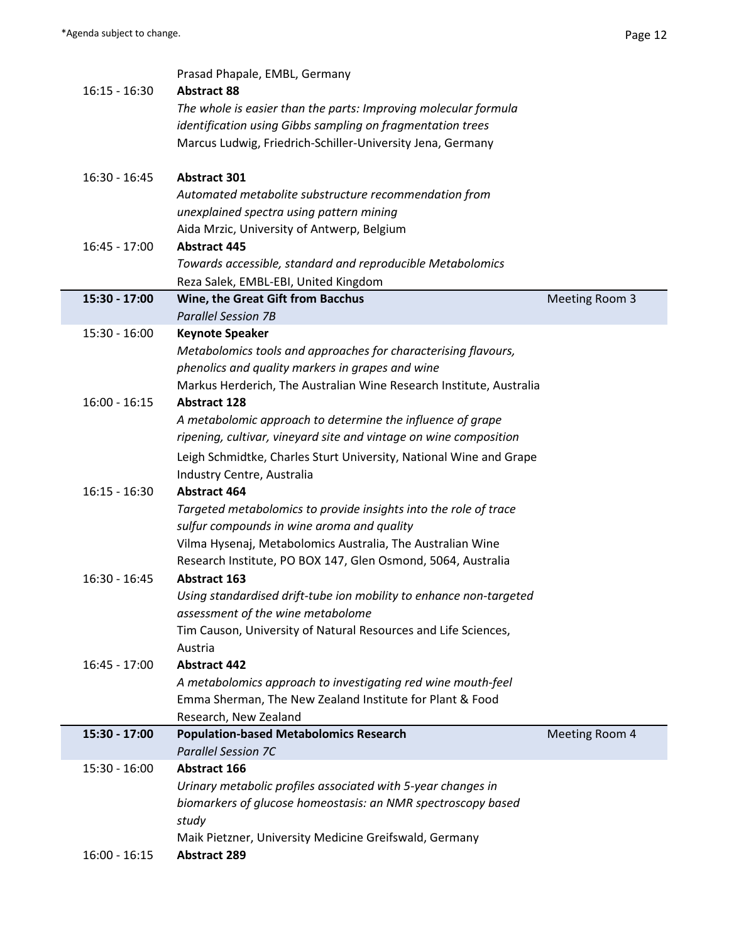|                 | Prasad Phapale, EMBL, Germany                                       |                |
|-----------------|---------------------------------------------------------------------|----------------|
| $16:15 - 16:30$ | <b>Abstract 88</b>                                                  |                |
|                 | The whole is easier than the parts: Improving molecular formula     |                |
|                 | identification using Gibbs sampling on fragmentation trees          |                |
|                 | Marcus Ludwig, Friedrich-Schiller-University Jena, Germany          |                |
|                 |                                                                     |                |
|                 |                                                                     |                |
| $16:30 - 16:45$ | <b>Abstract 301</b>                                                 |                |
|                 | Automated metabolite substructure recommendation from               |                |
|                 | unexplained spectra using pattern mining                            |                |
|                 | Aida Mrzic, University of Antwerp, Belgium                          |                |
| $16:45 - 17:00$ | <b>Abstract 445</b>                                                 |                |
|                 | Towards accessible, standard and reproducible Metabolomics          |                |
|                 | Reza Salek, EMBL-EBI, United Kingdom                                |                |
| 15:30 - 17:00   | Wine, the Great Gift from Bacchus                                   | Meeting Room 3 |
|                 | <b>Parallel Session 7B</b>                                          |                |
| $15:30 - 16:00$ | <b>Keynote Speaker</b>                                              |                |
|                 | Metabolomics tools and approaches for characterising flavours,      |                |
|                 | phenolics and quality markers in grapes and wine                    |                |
|                 |                                                                     |                |
|                 | Markus Herderich, The Australian Wine Research Institute, Australia |                |
| $16:00 - 16:15$ | <b>Abstract 128</b>                                                 |                |
|                 | A metabolomic approach to determine the influence of grape          |                |
|                 | ripening, cultivar, vineyard site and vintage on wine composition   |                |
|                 | Leigh Schmidtke, Charles Sturt University, National Wine and Grape  |                |
|                 | Industry Centre, Australia                                          |                |
| $16:15 - 16:30$ | <b>Abstract 464</b>                                                 |                |
|                 | Targeted metabolomics to provide insights into the role of trace    |                |
|                 | sulfur compounds in wine aroma and quality                          |                |
|                 | Vilma Hysenaj, Metabolomics Australia, The Australian Wine          |                |
|                 | Research Institute, PO BOX 147, Glen Osmond, 5064, Australia        |                |
| $16:30 - 16:45$ | <b>Abstract 163</b>                                                 |                |
|                 | Using standardised drift-tube ion mobility to enhance non-targeted  |                |
|                 |                                                                     |                |
|                 | assessment of the wine metabolome                                   |                |
|                 | Tim Causon, University of Natural Resources and Life Sciences,      |                |
|                 | Austria                                                             |                |
| $16:45 - 17:00$ | <b>Abstract 442</b>                                                 |                |
|                 | A metabolomics approach to investigating red wine mouth-feel        |                |
|                 | Emma Sherman, The New Zealand Institute for Plant & Food            |                |
|                 | Research, New Zealand                                               |                |
| 15:30 - 17:00   | <b>Population-based Metabolomics Research</b>                       | Meeting Room 4 |
|                 | <b>Parallel Session 7C</b>                                          |                |
| $15:30 - 16:00$ | <b>Abstract 166</b>                                                 |                |
|                 | Urinary metabolic profiles associated with 5-year changes in        |                |
|                 | biomarkers of glucose homeostasis: an NMR spectroscopy based        |                |
|                 | study                                                               |                |
|                 | Maik Pietzner, University Medicine Greifswald, Germany              |                |
| $16:00 - 16:15$ | <b>Abstract 289</b>                                                 |                |
|                 |                                                                     |                |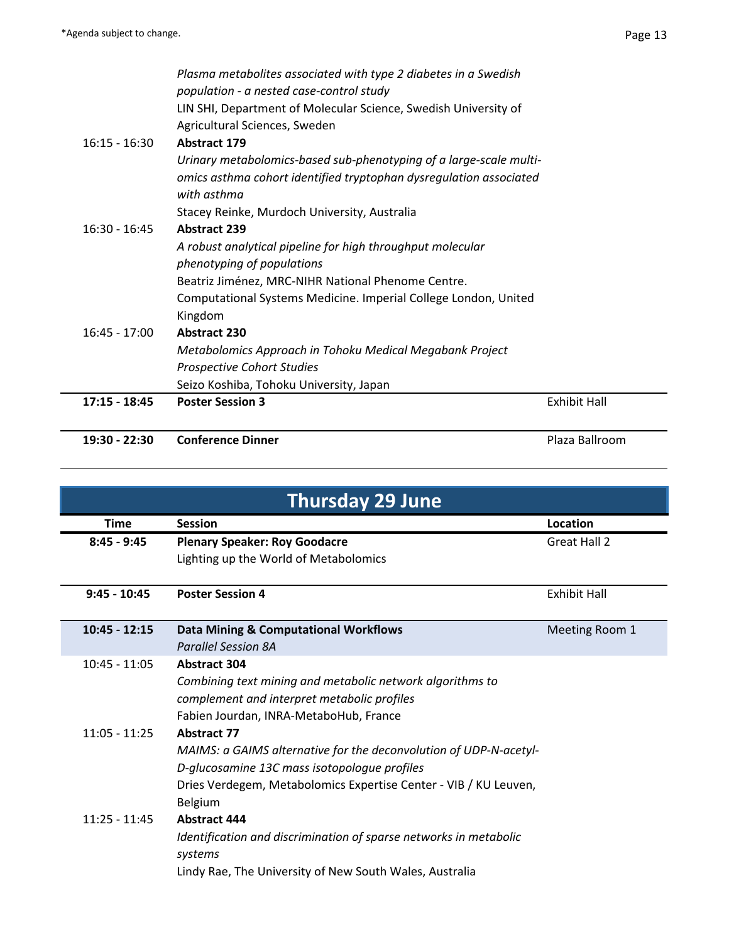| 19:30 - 22:30   | <b>Conference Dinner</b>                                           | Plaza Ballroom      |
|-----------------|--------------------------------------------------------------------|---------------------|
| $17:15 - 18:45$ | <b>Poster Session 3</b>                                            | <b>Exhibit Hall</b> |
|                 | Seizo Koshiba, Tohoku University, Japan                            |                     |
|                 | <b>Prospective Cohort Studies</b>                                  |                     |
|                 | Metabolomics Approach in Tohoku Medical Megabank Project           |                     |
| $16:45 - 17:00$ | <b>Abstract 230</b>                                                |                     |
|                 | Kingdom                                                            |                     |
|                 | Computational Systems Medicine. Imperial College London, United    |                     |
|                 | Beatriz Jiménez, MRC-NIHR National Phenome Centre.                 |                     |
|                 | phenotyping of populations                                         |                     |
|                 | A robust analytical pipeline for high throughput molecular         |                     |
| $16:30 - 16:45$ | <b>Abstract 239</b>                                                |                     |
|                 | Stacey Reinke, Murdoch University, Australia                       |                     |
|                 | with asthma                                                        |                     |
|                 | omics asthma cohort identified tryptophan dysregulation associated |                     |
|                 | Urinary metabolomics-based sub-phenotyping of a large-scale multi- |                     |
| $16:15 - 16:30$ | Agricultural Sciences, Sweden<br><b>Abstract 179</b>               |                     |
|                 | LIN SHI, Department of Molecular Science, Swedish University of    |                     |
|                 | population - a nested case-control study                           |                     |
|                 | Plasma metabolites associated with type 2 diabetes in a Swedish    |                     |

| <b>Thursday 29 June</b> |                                                                                                                                                                                                                        |                     |
|-------------------------|------------------------------------------------------------------------------------------------------------------------------------------------------------------------------------------------------------------------|---------------------|
| <b>Time</b>             | <b>Session</b>                                                                                                                                                                                                         | Location            |
| $8:45 - 9:45$           | <b>Plenary Speaker: Roy Goodacre</b>                                                                                                                                                                                   | Great Hall 2        |
|                         | Lighting up the World of Metabolomics                                                                                                                                                                                  |                     |
| $9:45 - 10:45$          | <b>Poster Session 4</b>                                                                                                                                                                                                | <b>Exhibit Hall</b> |
| $10:45 - 12:15$         | <b>Data Mining &amp; Computational Workflows</b><br><b>Parallel Session 8A</b>                                                                                                                                         | Meeting Room 1      |
| $10:45 - 11:05$         | <b>Abstract 304</b><br>Combining text mining and metabolic network algorithms to<br>complement and interpret metabolic profiles<br>Fabien Jourdan, INRA-MetaboHub, France                                              |                     |
| $11:05 - 11:25$         | <b>Abstract 77</b><br>MAIMS: a GAIMS alternative for the deconvolution of UDP-N-acetyl-<br>D-glucosamine 13C mass isotopologue profiles<br>Dries Verdegem, Metabolomics Expertise Center - VIB / KU Leuven,<br>Belgium |                     |
| $11:25 - 11:45$         | <b>Abstract 444</b><br>Identification and discrimination of sparse networks in metabolic<br>systems<br>Lindy Rae, The University of New South Wales, Australia                                                         |                     |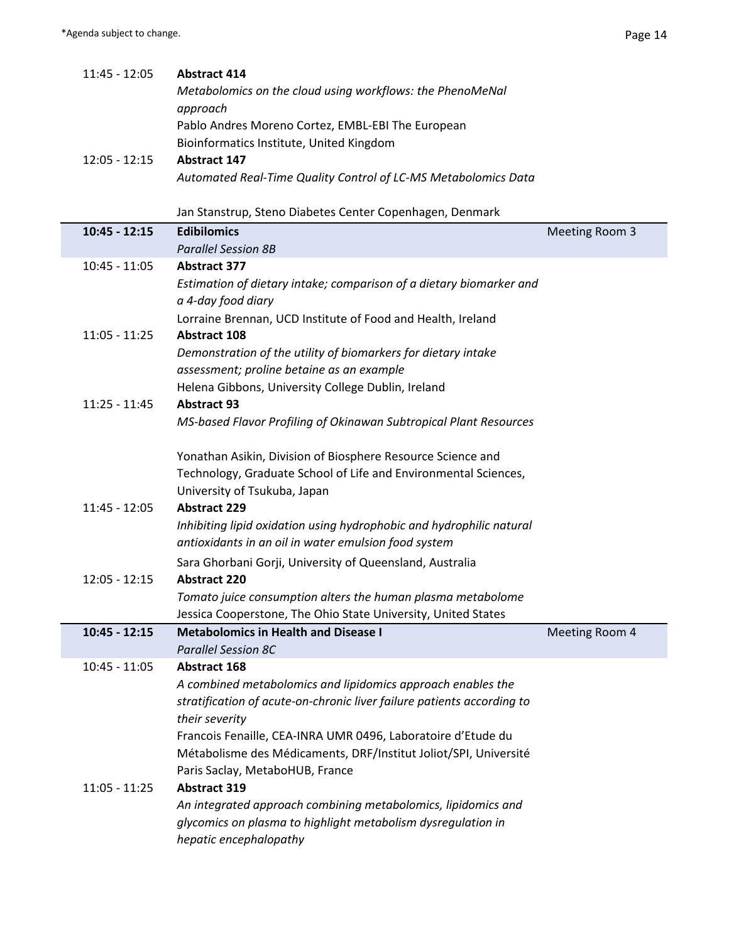| 11:45 - 12:05   | <b>Abstract 414</b>                                                                    |                |
|-----------------|----------------------------------------------------------------------------------------|----------------|
|                 | Metabolomics on the cloud using workflows: the PhenoMeNal                              |                |
|                 | approach                                                                               |                |
|                 | Pablo Andres Moreno Cortez, EMBL-EBI The European                                      |                |
|                 | Bioinformatics Institute, United Kingdom                                               |                |
| $12:05 - 12:15$ | <b>Abstract 147</b>                                                                    |                |
|                 | Automated Real-Time Quality Control of LC-MS Metabolomics Data                         |                |
|                 |                                                                                        |                |
|                 | Jan Stanstrup, Steno Diabetes Center Copenhagen, Denmark                               |                |
| $10:45 - 12:15$ | <b>Edibilomics</b>                                                                     | Meeting Room 3 |
|                 | <b>Parallel Session 8B</b>                                                             |                |
| $10:45 - 11:05$ | <b>Abstract 377</b>                                                                    |                |
|                 | Estimation of dietary intake; comparison of a dietary biomarker and                    |                |
|                 | a 4-day food diary                                                                     |                |
|                 | Lorraine Brennan, UCD Institute of Food and Health, Ireland                            |                |
| $11:05 - 11:25$ | <b>Abstract 108</b>                                                                    |                |
|                 | Demonstration of the utility of biomarkers for dietary intake                          |                |
|                 | assessment; proline betaine as an example                                              |                |
|                 | Helena Gibbons, University College Dublin, Ireland                                     |                |
| $11:25 - 11:45$ | <b>Abstract 93</b>                                                                     |                |
|                 | MS-based Flavor Profiling of Okinawan Subtropical Plant Resources                      |                |
|                 |                                                                                        |                |
|                 | Yonathan Asikin, Division of Biosphere Resource Science and                            |                |
|                 |                                                                                        |                |
|                 | Technology, Graduate School of Life and Environmental Sciences,                        |                |
|                 | University of Tsukuba, Japan                                                           |                |
| 11:45 - 12:05   | <b>Abstract 229</b>                                                                    |                |
|                 | Inhibiting lipid oxidation using hydrophobic and hydrophilic natural                   |                |
|                 | antioxidants in an oil in water emulsion food system                                   |                |
|                 | Sara Ghorbani Gorji, University of Queensland, Australia                               |                |
| $12:05 - 12:15$ | <b>Abstract 220</b>                                                                    |                |
|                 | Tomato juice consumption alters the human plasma metabolome                            |                |
|                 | Jessica Cooperstone, The Ohio State University, United States                          |                |
| $10:45 - 12:15$ | <b>Metabolomics in Health and Disease I</b>                                            | Meeting Room 4 |
|                 | <b>Parallel Session 8C</b>                                                             |                |
| $10:45 - 11:05$ | <b>Abstract 168</b>                                                                    |                |
|                 | A combined metabolomics and lipidomics approach enables the                            |                |
|                 |                                                                                        |                |
|                 | stratification of acute-on-chronic liver failure patients according to                 |                |
|                 | their severity                                                                         |                |
|                 | Francois Fenaille, CEA-INRA UMR 0496, Laboratoire d'Etude du                           |                |
|                 | Métabolisme des Médicaments, DRF/Institut Joliot/SPI, Université                       |                |
|                 | Paris Saclay, MetaboHUB, France                                                        |                |
| $11:05 - 11:25$ | <b>Abstract 319</b>                                                                    |                |
|                 | An integrated approach combining metabolomics, lipidomics and                          |                |
|                 | glycomics on plasma to highlight metabolism dysregulation in<br>hepatic encephalopathy |                |
|                 |                                                                                        |                |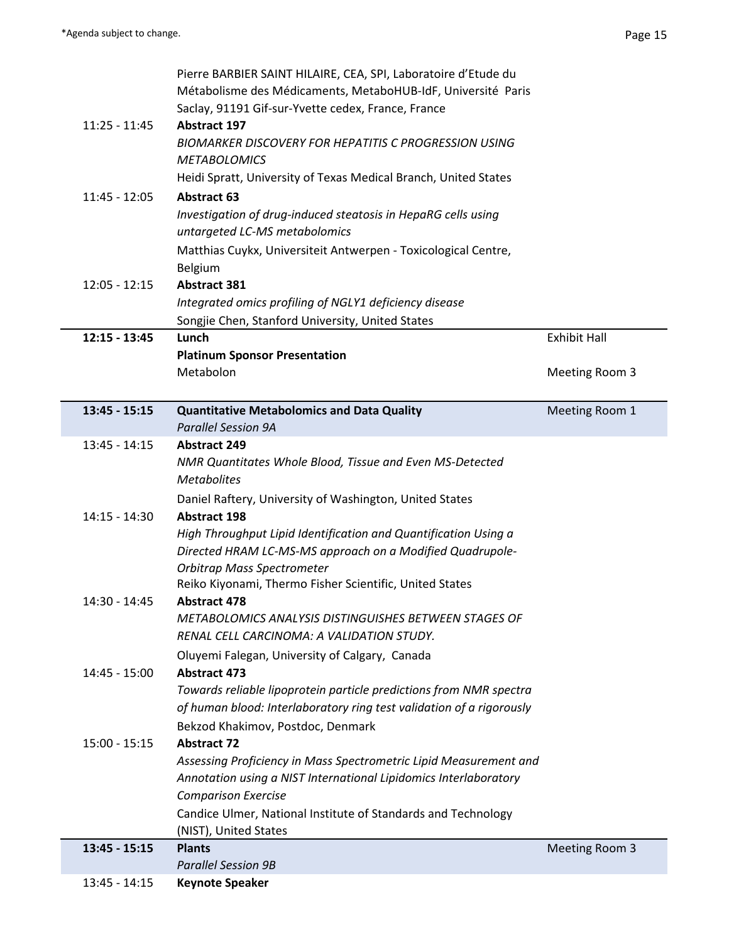$\sim$ 

Γ

|                 | Pierre BARBIER SAINT HILAIRE, CEA, SPI, Laboratoire d'Etude du<br>Métabolisme des Médicaments, MetaboHUB-IdF, Université Paris        |                     |
|-----------------|---------------------------------------------------------------------------------------------------------------------------------------|---------------------|
|                 | Saclay, 91191 Gif-sur-Yvette cedex, France, France                                                                                    |                     |
| $11:25 - 11:45$ | <b>Abstract 197</b>                                                                                                                   |                     |
|                 | <b>BIOMARKER DISCOVERY FOR HEPATITIS C PROGRESSION USING</b><br><b>METABOLOMICS</b>                                                   |                     |
|                 | Heidi Spratt, University of Texas Medical Branch, United States                                                                       |                     |
| $11:45 - 12:05$ | <b>Abstract 63</b>                                                                                                                    |                     |
|                 | Investigation of drug-induced steatosis in HepaRG cells using<br>untargeted LC-MS metabolomics                                        |                     |
|                 | Matthias Cuykx, Universiteit Antwerpen - Toxicological Centre,<br>Belgium                                                             |                     |
| $12:05 - 12:15$ | <b>Abstract 381</b>                                                                                                                   |                     |
|                 | Integrated omics profiling of NGLY1 deficiency disease                                                                                |                     |
|                 | Songjie Chen, Stanford University, United States                                                                                      |                     |
| $12:15 - 13:45$ | Lunch                                                                                                                                 | <b>Exhibit Hall</b> |
|                 | <b>Platinum Sponsor Presentation</b>                                                                                                  |                     |
|                 | Metabolon                                                                                                                             | Meeting Room 3      |
| $13:45 - 15:15$ | <b>Quantitative Metabolomics and Data Quality</b>                                                                                     | Meeting Room 1      |
|                 | <b>Parallel Session 9A</b>                                                                                                            |                     |
| $13:45 - 14:15$ | <b>Abstract 249</b>                                                                                                                   |                     |
|                 | NMR Quantitates Whole Blood, Tissue and Even MS-Detected                                                                              |                     |
|                 | <b>Metabolites</b>                                                                                                                    |                     |
|                 | Daniel Raftery, University of Washington, United States                                                                               |                     |
| 14:15 - 14:30   | <b>Abstract 198</b>                                                                                                                   |                     |
|                 | High Throughput Lipid Identification and Quantification Using a                                                                       |                     |
|                 | Directed HRAM LC-MS-MS approach on a Modified Quadrupole-                                                                             |                     |
|                 | Orbitrap Mass Spectrometer                                                                                                            |                     |
|                 | Reiko Kiyonami, Thermo Fisher Scientific, United States                                                                               |                     |
| 14:30 - 14:45   | <b>Abstract 478</b>                                                                                                                   |                     |
|                 | METABOLOMICS ANALYSIS DISTINGUISHES BETWEEN STAGES OF                                                                                 |                     |
|                 | RENAL CELL CARCINOMA: A VALIDATION STUDY.                                                                                             |                     |
|                 | Oluyemi Falegan, University of Calgary, Canada                                                                                        |                     |
| 14:45 - 15:00   | <b>Abstract 473</b>                                                                                                                   |                     |
|                 | Towards reliable lipoprotein particle predictions from NMR spectra                                                                    |                     |
|                 | of human blood: Interlaboratory ring test validation of a rigorously                                                                  |                     |
|                 | Bekzod Khakimov, Postdoc, Denmark                                                                                                     |                     |
| $15:00 - 15:15$ | <b>Abstract 72</b>                                                                                                                    |                     |
|                 | Assessing Proficiency in Mass Spectrometric Lipid Measurement and<br>Annotation using a NIST International Lipidomics Interlaboratory |                     |
|                 | <b>Comparison Exercise</b>                                                                                                            |                     |
|                 | Candice Ulmer, National Institute of Standards and Technology                                                                         |                     |
|                 | (NIST), United States                                                                                                                 |                     |
| $13:45 - 15:15$ | <b>Plants</b>                                                                                                                         | Meeting Room 3      |
|                 | <b>Parallel Session 9B</b>                                                                                                            |                     |
| $13:45 - 14:15$ | <b>Keynote Speaker</b>                                                                                                                |                     |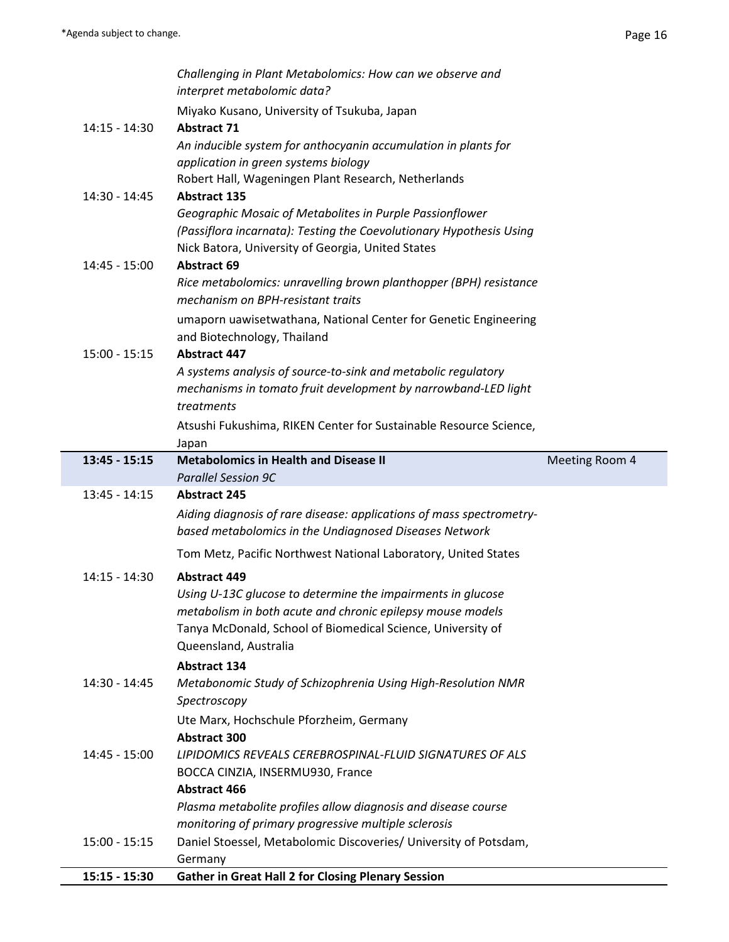|                 | Challenging in Plant Metabolomics: How can we observe and<br>interpret metabolomic data?                                       |                |
|-----------------|--------------------------------------------------------------------------------------------------------------------------------|----------------|
|                 | Miyako Kusano, University of Tsukuba, Japan                                                                                    |                |
| 14:15 - 14:30   | <b>Abstract 71</b><br>An inducible system for anthocyanin accumulation in plants for                                           |                |
|                 | application in green systems biology                                                                                           |                |
|                 | Robert Hall, Wageningen Plant Research, Netherlands                                                                            |                |
| 14:30 - 14:45   | <b>Abstract 135</b>                                                                                                            |                |
|                 | Geographic Mosaic of Metabolites in Purple Passionflower                                                                       |                |
|                 | (Passiflora incarnata): Testing the Coevolutionary Hypothesis Using<br>Nick Batora, University of Georgia, United States       |                |
| 14:45 - 15:00   | <b>Abstract 69</b>                                                                                                             |                |
|                 | Rice metabolomics: unravelling brown planthopper (BPH) resistance                                                              |                |
|                 | mechanism on BPH-resistant traits                                                                                              |                |
|                 | umaporn uawisetwathana, National Center for Genetic Engineering                                                                |                |
|                 | and Biotechnology, Thailand                                                                                                    |                |
| $15:00 - 15:15$ | <b>Abstract 447</b><br>A systems analysis of source-to-sink and metabolic regulatory                                           |                |
|                 | mechanisms in tomato fruit development by narrowband-LED light                                                                 |                |
|                 | treatments                                                                                                                     |                |
|                 | Atsushi Fukushima, RIKEN Center for Sustainable Resource Science,                                                              |                |
|                 | Japan                                                                                                                          |                |
| $13:45 - 15:15$ | <b>Metabolomics in Health and Disease II</b>                                                                                   | Meeting Room 4 |
|                 | <b>Parallel Session 9C</b>                                                                                                     |                |
| $13:45 - 14:15$ | <b>Abstract 245</b>                                                                                                            |                |
|                 | Aiding diagnosis of rare disease: applications of mass spectrometry-<br>based metabolomics in the Undiagnosed Diseases Network |                |
|                 | Tom Metz, Pacific Northwest National Laboratory, United States                                                                 |                |
| 14:15 - 14:30   | <b>Abstract 449</b>                                                                                                            |                |
|                 | Using U-13C glucose to determine the impairments in glucose                                                                    |                |
|                 | metabolism in both acute and chronic epilepsy mouse models                                                                     |                |
|                 | Tanya McDonald, School of Biomedical Science, University of                                                                    |                |
|                 | Queensland, Australia                                                                                                          |                |
|                 | <b>Abstract 134</b>                                                                                                            |                |
| 14:30 - 14:45   | Metabonomic Study of Schizophrenia Using High-Resolution NMR                                                                   |                |
|                 | Spectroscopy                                                                                                                   |                |
|                 | Ute Marx, Hochschule Pforzheim, Germany<br><b>Abstract 300</b>                                                                 |                |
| 14:45 - 15:00   | LIPIDOMICS REVEALS CEREBROSPINAL-FLUID SIGNATURES OF ALS                                                                       |                |
|                 | BOCCA CINZIA, INSERMU930, France                                                                                               |                |
|                 | <b>Abstract 466</b>                                                                                                            |                |
|                 | Plasma metabolite profiles allow diagnosis and disease course                                                                  |                |
|                 | monitoring of primary progressive multiple sclerosis                                                                           |                |
| $15:00 - 15:15$ | Daniel Stoessel, Metabolomic Discoveries/ University of Potsdam,<br>Germany                                                    |                |